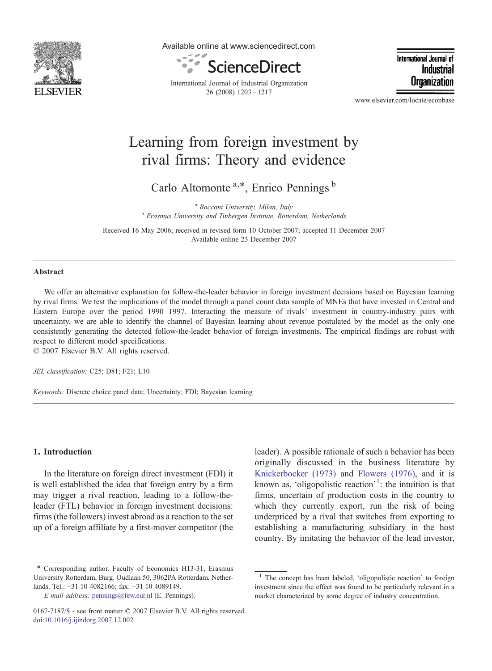

Available online at www.sciencedirect.com



International Journal of Industrial Organization 26 (2008) 1203–1217

International Journal of Industria Organization

www.elsevier.com/locate/econbase

## Learning from foreign investment by rival firms: Theory and evidence

Carlo Altomonte  $a,*$ , Enrico Pennings  $b$ 

<sup>a</sup> Bocconi University, Milan, Italy b Erasmus University and Tinbergen Institute, Rotterdam, Netherlands

Received 16 May 2006; received in revised form 10 October 2007; accepted 11 December 2007 Available online 23 December 2007

## Abstract

We offer an alternative explanation for follow-the-leader behavior in foreign investment decisions based on Bayesian learning by rival firms. We test the implications of the model through a panel count data sample of MNEs that have invested in Central and Eastern Europe over the period 1990–1997. Interacting the measure of rivals' investment in country-industry pairs with uncertainty, we are able to identify the channel of Bayesian learning about revenue postulated by the model as the only one consistently generating the detected follow-the-leader behavior of foreign investments. The empirical findings are robust with respect to different model specifications.

© 2007 Elsevier B.V. All rights reserved.

JEL classification: C25; D81; F21; L10

Keywords: Discrete choice panel data; Uncertainty; FDI; Bayesian learning

## 1. Introduction

In the literature on foreign direct investment (FDI) it is well established the idea that foreign entry by a firm may trigger a rival reaction, leading to a follow-theleader (FTL) behavior in foreign investment decisions: firms (the followers) invest abroad as a reaction to the set up of a foreign affiliate by a first-mover competitor (the

⁎ Corresponding author. Faculty of Economics H13-31, Erasmus University Rotterdam, Burg. Oudlaan 50, 3062PA Rotterdam, Netherlands. Tel.: +31 10 4082166; fax: +31 10 4089149.

leader). A possible rationale of such a behavior has been originally discussed in the business literature by [Knickerbocker \(1973\)](#page--1-0) and [Flowers \(1976\)](#page--1-0), and it is known as, 'oligopolistic reaction'<sup>1</sup>: the intuition is that firms, uncertain of production costs in the country to which they currently export, run the risk of being underpriced by a rival that switches from exporting to establishing a manufacturing subsidiary in the host country. By imitating the behavior of the lead investor,

E-mail address: [pennings@few.eur.nl](mailto:pennings@few.eur.nl) (E. Pennings).

<sup>0167-7187/\$ -</sup> see front matter © 2007 Elsevier B.V. All rights reserved. doi[:10.1016/j.ijindorg.2007.12.002](http://dx.doi.org/10.1016/j.ijindorg.2007.12.002)

The concept has been labeled, 'oligopolistic reaction' to foreign investment since the effect was found to be particularly relevant in a market characterized by some degree of industry concentration.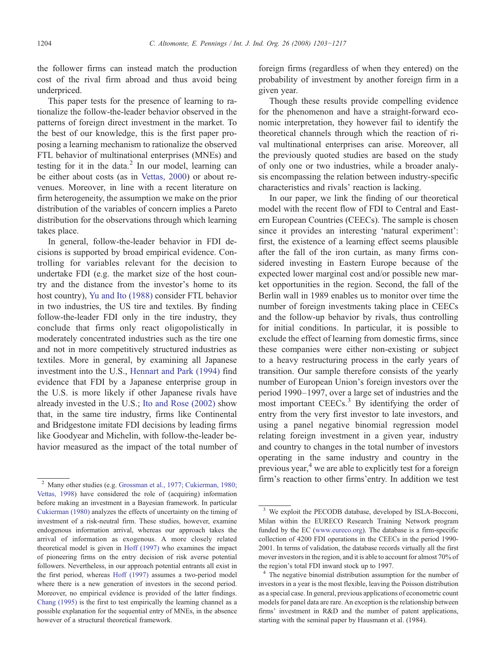the follower firms can instead match the production cost of the rival firm abroad and thus avoid being underpriced.

This paper tests for the presence of learning to rationalize the follow-the-leader behavior observed in the patterns of foreign direct investment in the market. To the best of our knowledge, this is the first paper proposing a learning mechanism to rationalize the observed FTL behavior of multinational enterprises (MNEs) and testing for it in the data. $^2$  In our model, learning can be either about costs (as in [Vettas, 2000\)](#page--1-0) or about revenues. Moreover, in line with a recent literature on firm heterogeneity, the assumption we make on the prior distribution of the variables of concern implies a Pareto distribution for the observations through which learning takes place.

In general, follow-the-leader behavior in FDI decisions is supported by broad empirical evidence. Controlling for variables relevant for the decision to undertake FDI (e.g. the market size of the host country and the distance from the investor's home to its host country), [Yu and Ito \(1988\)](#page--1-0) consider FTL behavior in two industries, the US tire and textiles. By finding follow-the-leader FDI only in the tire industry, they conclude that firms only react oligopolistically in moderately concentrated industries such as the tire one and not in more competitively structured industries as textiles. More in general, by examining all Japanese investment into the U.S., [Hennart and Park \(1994\)](#page--1-0) find evidence that FDI by a Japanese enterprise group in the U.S. is more likely if other Japanese rivals have already invested in the U.S.; [Ito and Rose \(2002\)](#page--1-0) show that, in the same tire industry, firms like Continental and Bridgestone imitate FDI decisions by leading firms like Goodyear and Michelin, with follow-the-leader behavior measured as the impact of the total number of foreign firms (regardless of when they entered) on the probability of investment by another foreign firm in a given year.

Though these results provide compelling evidence for the phenomenon and have a straight-forward economic interpretation, they however fail to identify the theoretical channels through which the reaction of rival multinational enterprises can arise. Moreover, all the previously quoted studies are based on the study of only one or two industries, while a broader analysis encompassing the relation between industry-specific characteristics and rivals' reaction is lacking.

In our paper, we link the finding of our theoretical model with the recent flow of FDI to Central and Eastern European Countries (CEECs). The sample is chosen since it provides an interesting 'natural experiment': first, the existence of a learning effect seems plausible after the fall of the iron curtain, as many firms considered investing in Eastern Europe because of the expected lower marginal cost and/or possible new market opportunities in the region. Second, the fall of the Berlin wall in 1989 enables us to monitor over time the number of foreign investments taking place in CEECs and the follow-up behavior by rivals, thus controlling for initial conditions. In particular, it is possible to exclude the effect of learning from domestic firms, since these companies were either non-existing or subject to a heavy restructuring process in the early years of transition. Our sample therefore consists of the yearly number of European Union's foreign investors over the period 1990–1997, over a large set of industries and the most important CEECs.<sup>3</sup> By identifying the order of entry from the very first investor to late investors, and using a panel negative binomial regression model relating foreign investment in a given year, industry and country to changes in the total number of investors operating in the same industry and country in the previous year, $4$  we are able to explicitly test for a foreign  $\frac{2}{2}$  Many other studies (e.g. [Grossman et al., 1977; Cukierman, 1980;](#page--1-0) firm's reaction to other firms'entry. In addition we test

[Vettas, 1998](#page--1-0)) have considered the role of (acquiring) information before making an investment in a Bayesian framework. In particular [Cukierman \(1980\)](#page--1-0) analyzes the effects of uncertainty on the timing of investment of a risk-neutral firm. These studies, however, examine endogenous information arrival, whereas our approach takes the arrival of information as exogenous. A more closely related theoretical model is given in [Hoff \(1997\)](#page--1-0) who examines the impact of pioneering firms on the entry decision of risk averse potential followers. Nevertheless, in our approach potential entrants all exist in the first period, whereas [Hoff \(1997\)](#page--1-0) assumes a two-period model where there is a new generation of investors in the second period. Moreover, no empirical evidence is provided of the latter findings. [Chang \(1995\)](#page--1-0) is the first to test empirically the learning channel as a possible explanation for the sequential entry of MNEs, in the absence however of a structural theoretical framework.

<sup>&</sup>lt;sup>3</sup> We exploit the PECODB database, developed by ISLA-Bocconi, Milan within the EURECO Research Training Network program funded by the EC [\(www.eureco.org](http://www.eureco.org)). The database is a firm-specific collection of 4200 FDI operations in the CEECs in the period 1990- 2001. In terms of validation, the database records virtually all the first mover investors in the region, and it is able to account for almost 70% of the region's total FDI inward stock up to 1997.

The negative binomial distribution assumption for the number of investors in a year is the most flexible, leaving the Poisson distribution as a special case. In general, previous applications of econometric count models for panel data are rare. An exception is the relationship between firms' investment in R&D and the number of patent applications, starting with the seminal paper by Hausmann et al. (1984).